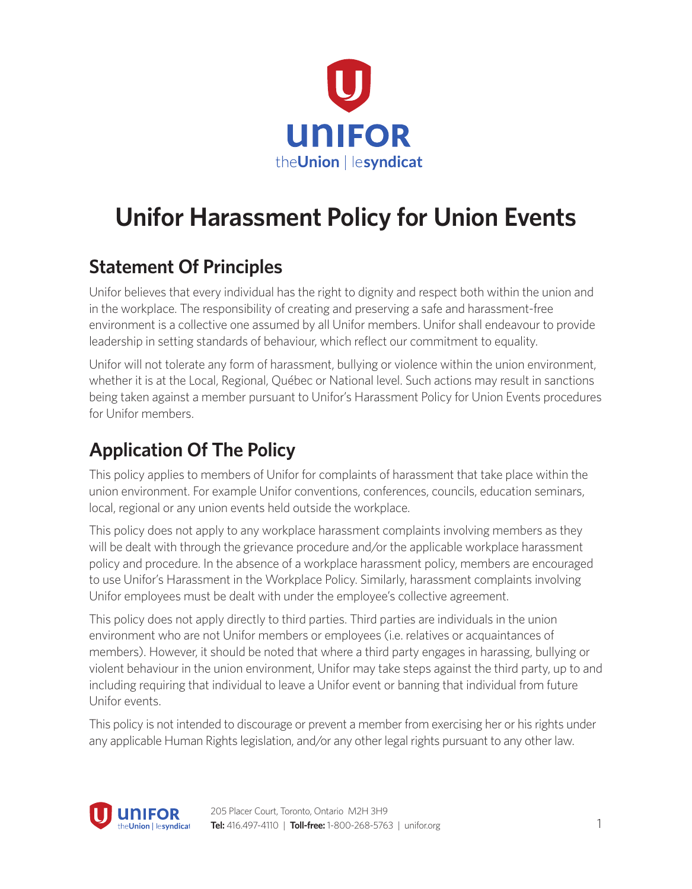

# **Unifor Harassment Policy for Union Events**

### **Statement Of Principles**

Unifor believes that every individual has the right to dignity and respect both within the union and in the workplace. The responsibility of creating and preserving a safe and harassment-free environment is a collective one assumed by all Unifor members. Unifor shall endeavour to provide leadership in setting standards of behaviour, which reflect our commitment to equality.

Unifor will not tolerate any form of harassment, bullying or violence within the union environment, whether it is at the Local, Regional, Québec or National level. Such actions may result in sanctions being taken against a member pursuant to Unifor's Harassment Policy for Union Events procedures for Unifor members.

# **Application Of The Policy**

This policy applies to members of Unifor for complaints of harassment that take place within the union environment. For example Unifor conventions, conferences, councils, education seminars, local, regional or any union events held outside the workplace.

This policy does not apply to any workplace harassment complaints involving members as they will be dealt with through the grievance procedure and/or the applicable workplace harassment policy and procedure. In the absence of a workplace harassment policy, members are encouraged to use Unifor's Harassment in the Workplace Policy. Similarly, harassment complaints involving Unifor employees must be dealt with under the employee's collective agreement.

This policy does not apply directly to third parties. Third parties are individuals in the union environment who are not Unifor members or employees (i.e. relatives or acquaintances of members). However, it should be noted that where a third party engages in harassing, bullying or violent behaviour in the union environment, Unifor may take steps against the third party, up to and including requiring that individual to leave a Unifor event or banning that individual from future Unifor events.

This policy is not intended to discourage or prevent a member from exercising her or his rights under any applicable Human Rights legislation, and/or any other legal rights pursuant to any other law.

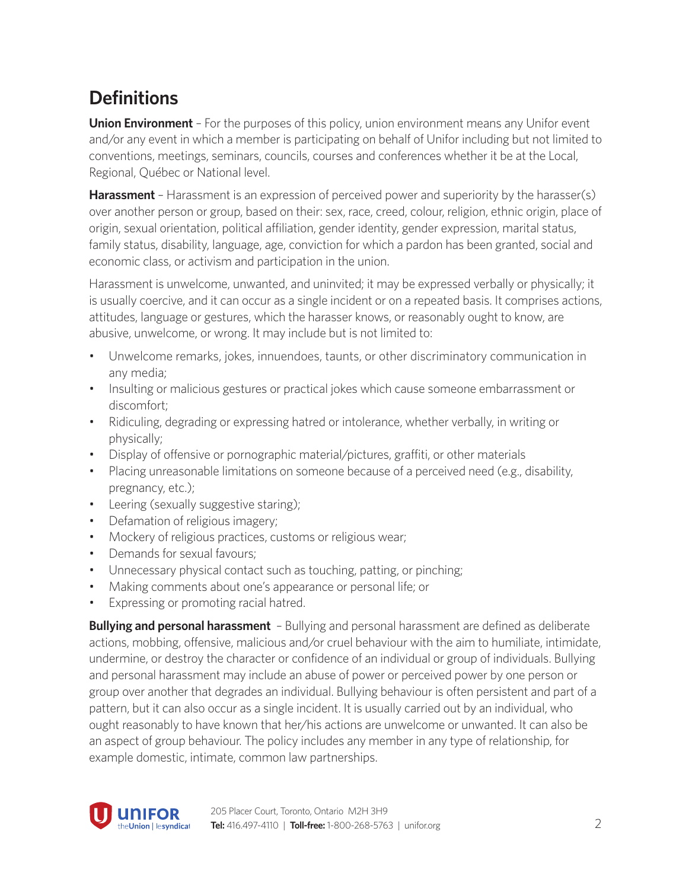# **Definitions**

**Union Environment** – For the purposes of this policy, union environment means any Unifor event and/or any event in which a member is participating on behalf of Unifor including but not limited to conventions, meetings, seminars, councils, courses and conferences whether it be at the Local, Regional, Québec or National level.

**Harassment** – Harassment is an expression of perceived power and superiority by the harasser(s) over another person or group, based on their: sex, race, creed, colour, religion, ethnic origin, place of origin, sexual orientation, political affiliation, gender identity, gender expression, marital status, family status, disability, language, age, conviction for which a pardon has been granted, social and economic class, or activism and participation in the union.

Harassment is unwelcome, unwanted, and uninvited; it may be expressed verbally or physically; it is usually coercive, and it can occur as a single incident or on a repeated basis. It comprises actions, attitudes, language or gestures, which the harasser knows, or reasonably ought to know, are abusive, unwelcome, or wrong. It may include but is not limited to:

- Unwelcome remarks, jokes, innuendoes, taunts, or other discriminatory communication in any media;
- Insulting or malicious gestures or practical jokes which cause someone embarrassment or discomfort;
- Ridiculing, degrading or expressing hatred or intolerance, whether verbally, in writing or physically;
- Display of offensive or pornographic material/pictures, graffiti, or other materials
- Placing unreasonable limitations on someone because of a perceived need (e.g., disability, pregnancy, etc.);
- Leering (sexually suggestive staring);
- Defamation of religious imagery;
- Mockery of religious practices, customs or religious wear;
- Demands for sexual favours;
- Unnecessary physical contact such as touching, patting, or pinching;
- Making comments about one's appearance or personal life; or
- Expressing or promoting racial hatred.

**Bullying and personal harassment** – Bullying and personal harassment are defined as deliberate actions, mobbing, offensive, malicious and/or cruel behaviour with the aim to humiliate, intimidate, undermine, or destroy the character or confidence of an individual or group of individuals. Bullying and personal harassment may include an abuse of power or perceived power by one person or group over another that degrades an individual. Bullying behaviour is often persistent and part of a pattern, but it can also occur as a single incident. It is usually carried out by an individual, who ought reasonably to have known that her/his actions are unwelcome or unwanted. It can also be an aspect of group behaviour. The policy includes any member in any type of relationship, for example domestic, intimate, common law partnerships.

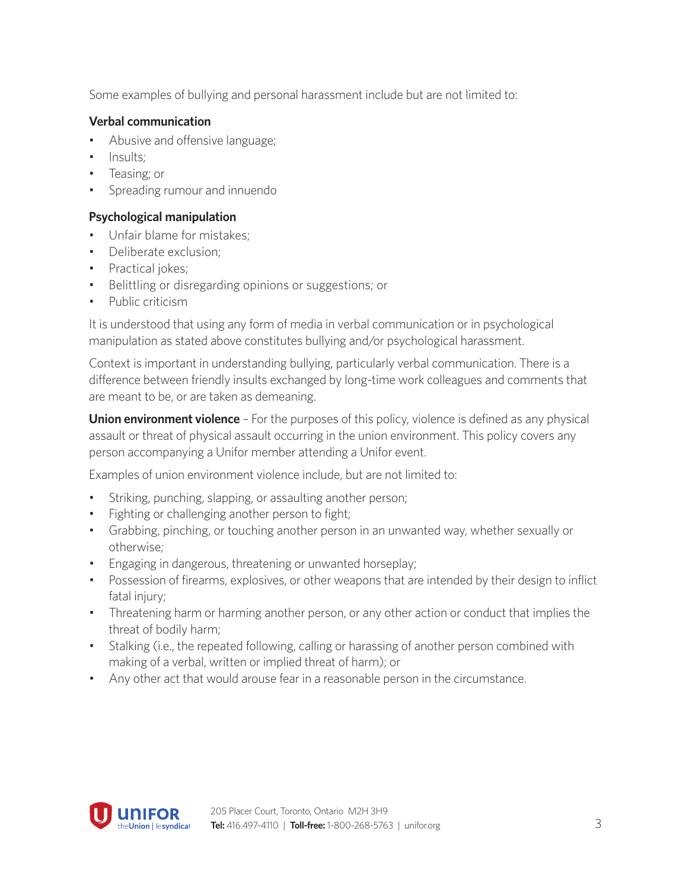Some examples of bullying and personal harassment include but are not limited to:

#### **Verbal communication**

- Abusive and offensive language;
- Insults;
- Teasing; or
- Spreading rumour and innuendo

#### **Psychological manipulation**

- Unfair blame for mistakes;
- Deliberate exclusion;
- Practical jokes;
- Belittling or disregarding opinions or suggestions; or
- Public criticism

It is understood that using any form of media in verbal communication or in psychological manipulation as stated above constitutes bullying and/or psychological harassment.

Context is important in understanding bullying, particularly verbal communication. There is a difference between friendly insults exchanged by long-time work colleagues and comments that are meant to be, or are taken as demeaning.

**Union environment violence** – For the purposes of this policy, violence is defined as any physical assault or threat of physical assault occurring in the union environment. This policy covers any person accompanying a Unifor member attending a Unifor event.

Examples of union environment violence include, but are not limited to:

- Striking, punching, slapping, or assaulting another person;
- Fighting or challenging another person to fight;
- Grabbing, pinching, or touching another person in an unwanted way, whether sexually or otherwise;
- Engaging in dangerous, threatening or unwanted horseplay;
- Possession of firearms, explosives, or other weapons that are intended by their design to inflict fatal injury;
- Threatening harm or harming another person, or any other action or conduct that implies the threat of bodily harm;
- Stalking (i.e., the repeated following, calling or harassing of another person combined with making of a verbal, written or implied threat of harm); or
- Any other act that would arouse fear in a reasonable person in the circumstance.

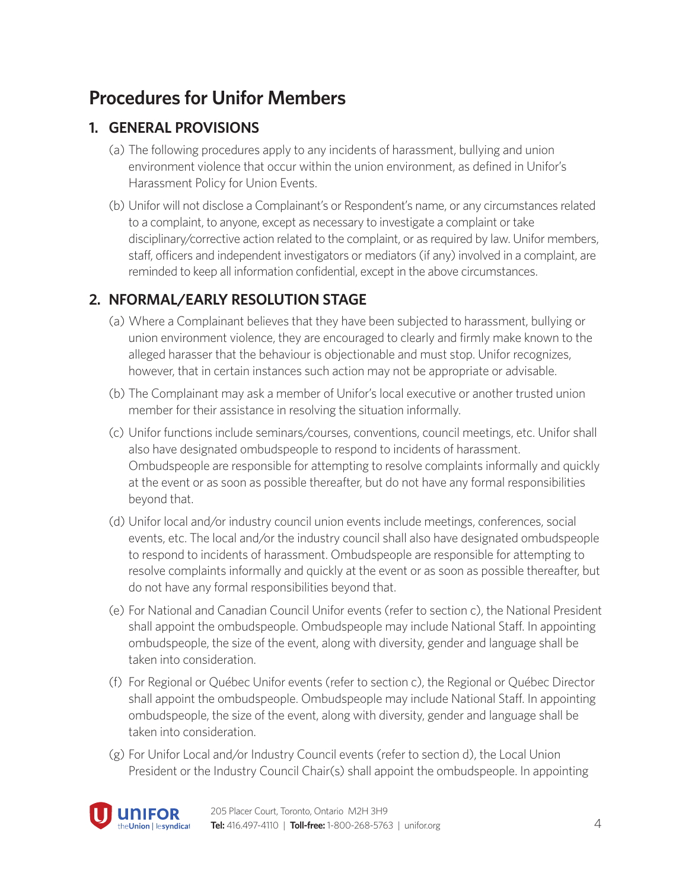### **Procedures for Unifor Members**

### **1. GENERAL PROVISIONS**

- (a) The following procedures apply to any incidents of harassment, bullying and union environment violence that occur within the union environment, as defined in Unifor's Harassment Policy for Union Events.
- (b) Unifor will not disclose a Complainant's or Respondent's name, or any circumstances related to a complaint, to anyone, except as necessary to investigate a complaint or take disciplinary/corrective action related to the complaint, or as required by law. Unifor members, staff, officers and independent investigators or mediators (if any)involved in a complaint, are reminded to keep all information confidential, except in the above circumstances.

### **2. NFORMAL/EARLY RESOLUTION STAGE**

- (a) Where a Complainant believes that they have been subjected to harassment, bullying or union environment violence, they are encouraged to clearly and firmly make known to the alleged harasser that the behaviour is objectionable and must stop. Unifor recognizes, however, that in certain instances such action may not be appropriate or advisable.
- (b) The Complainant may ask a member of Unifor's local executive or another trusted union member for their assistance in resolving the situation informally.
- (c) Unifor functions include seminars/courses, conventions, council meetings, etc. Unifor shall also have designated ombudspeople to respond to incidents of harassment. Ombudspeople are responsible for attempting to resolve complaints informally and quickly at the event or as soon as possible thereafter, but do not have any formal responsibilities beyond that.
- (d) Unifor local and/or industry council union events include meetings, conferences, social events, etc. The local and/or the industry council shall also have designated ombudspeople to respond to incidents of harassment. Ombudspeople are responsible for attempting to resolve complaints informally and quickly at the event or as soon as possible thereafter, but do not have any formal responsibilities beyond that.
- (e) For National and Canadian Council Unifor events (refer to section c), the National President shall appoint the ombudspeople. Ombudspeople may include National Staff. In appointing ombudspeople, the size of the event, along with diversity, gender and language shall be taken into consideration.
- (f) For Regional or Québec Unifor events (refer to section c), the Regional or Québec Director shall appoint the ombudspeople. Ombudspeople may include National Staff. In appointing ombudspeople, the size of the event, along with diversity, gender and language shall be taken into consideration.
- (g) For Unifor Local and/or Industry Council events (refer to section d), the Local Union President or the Industry Council Chair(s) shall appoint the ombudspeople. In appointing

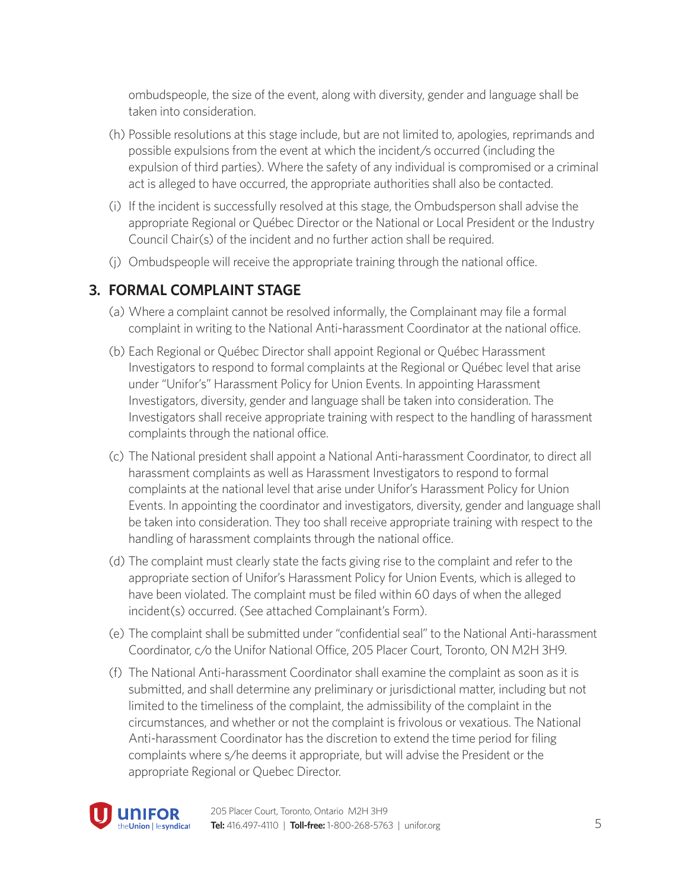ombudspeople, the size of the event, along with diversity, gender and language shall be taken into consideration.

- (h) Possible resolutions at this stage include, but are not limited to, apologies, reprimands and possible expulsions from the event at which the incident/s occurred (including the expulsion of third parties). Where the safety of any individual is compromised or a criminal act is alleged to have occurred, the appropriate authorities shall also be contacted.
- (i) If the incident is successfully resolved at this stage, the Ombudsperson shall advise the appropriate Regional or Québec Director or the National or Local President or the Industry Council Chair(s) of the incident and no further action shall be required.
- (j) Ombudspeople will receive the appropriate training through the national office.

### **3. FORMAL COMPLAINT STAGE**

- (a) Where a complaint cannot be resolved informally, the Complainant may file a formal complaint in writing to the National Anti-harassment Coordinator at the national office.
- (b) Each Regional or Québec Director shall appoint Regional or Québec Harassment Investigators to respond to formal complaints at the Regional or Québec level that arise under "Unifor's" Harassment Policy for Union Events. In appointing Harassment Investigators, diversity, gender and language shall be taken into consideration. The Investigators shall receive appropriate training with respect to the handling of harassment complaints through the national office.
- (c) The National president shall appoint a National Anti-harassment Coordinator, to direct all harassment complaints as well as Harassment Investigators to respond to formal complaints at the national level that arise under Unifor's Harassment Policy for Union Events. In appointing the coordinator and investigators, diversity, gender and language shall be taken into consideration. They too shall receive appropriate training with respect to the handling of harassment complaints through the national office.
- (d) The complaint must clearly state the facts giving rise to the complaint and refer to the appropriate section of Unifor's Harassment Policy for Union Events, which is alleged to have been violated. The complaint must be filed within 60 days of when the alleged incident(s) occurred. (See attached Complainant's Form).
- (e) The complaint shall be submitted under "confidential seal" to the National Anti-harassment Coordinator, c/o the Unifor National Office, 205 Placer Court, Toronto, ON M2H 3H9.
- (f) The National Anti-harassment Coordinator shall examine the complaint as soon as it is submitted, and shall determine any preliminary or jurisdictional matter, including but not limited to the timeliness of the complaint, the admissibility of the complaint in the circumstances, and whether or not the complaint is frivolous or vexatious. The National Anti-harassment Coordinator has the discretion to extend the time period for filing complaints where s/he deems it appropriate, but will advise the President or the appropriate Regional or Quebec Director.

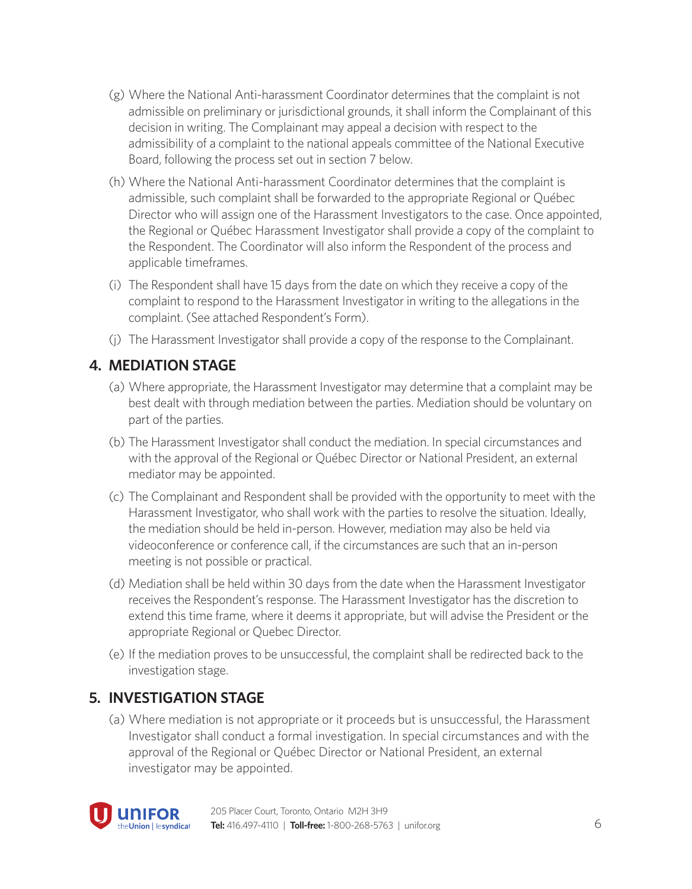- (g) Where the National Anti-harassment Coordinator determines that the complaint is not admissible on preliminary or jurisdictional grounds, it shall inform the Complainant of this decision in writing. The Complainant may appeal a decision with respect to the admissibility of a complaint to the national appeals committee of the National Executive Board, following the process set out in section 7 below.
- (h) Where the National Anti-harassment Coordinator determines that the complaint is admissible, such complaint shall be forwarded to the appropriate Regional or Québec Director who will assign one of the Harassment Investigators to the case. Once appointed, the Regional or Québec Harassment Investigator shall provide a copy of the complaint to the Respondent. The Coordinator will also inform the Respondent of the process and applicable timeframes.
- (i) The Respondent shall have 15 days from the date on which they receive a copy of the complaint to respond to the Harassment Investigator in writing to the allegations in the complaint. (See attached Respondent's Form).
- (j) The Harassment Investigator shall provide a copy of the response to the Complainant.

### **4. MEDIATION STAGE**

- (a) Where appropriate, the Harassment Investigator may determine that a complaint may be best dealt with through mediation between the parties. Mediation should be voluntary on part of the parties.
- (b) The Harassment Investigator shall conduct the mediation. In special circumstances and with the approval of the Regional or Québec Director or National President, an external mediator may be appointed.
- (c) The Complainant and Respondent shall be provided with the opportunity to meet with the Harassment Investigator, who shall work with the parties to resolve the situation. Ideally, the mediation should be held in-person. However, mediation may also be held via videoconference or conference call, if the circumstances are such that an in-person meeting is not possible or practical.
- (d) Mediation shall be held within 30 days from the date when the Harassment Investigator receives the Respondent's response. The Harassment Investigator has the discretion to extend this time frame, where it deems it appropriate, but will advise the President or the appropriate Regional or Quebec Director.
- (e) If the mediation proves to be unsuccessful, the complaint shall be redirected back to the investigation stage.

#### **5. INVESTIGATION STAGE**

(a) Where mediation is not appropriate or it proceeds but is unsuccessful, the Harassment Investigator shall conduct a formal investigation. In special circumstances and with the approval of the Regional or Québec Director or National President, an external investigator may be appointed.

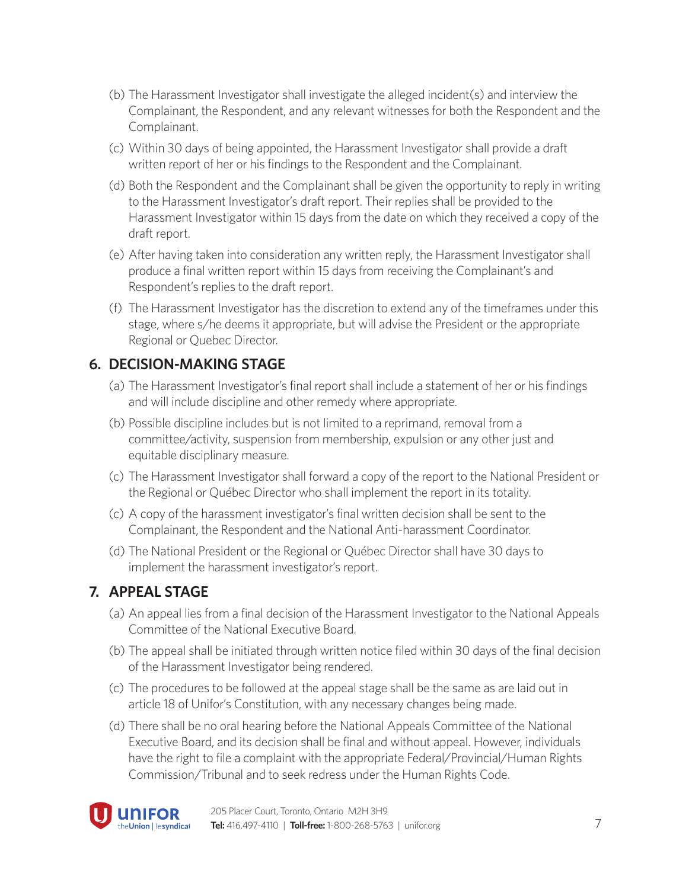- (b) The Harassment Investigator shall investigate the alleged incident(s) and interview the Complainant, the Respondent, and any relevant witnesses for both the Respondent and the Complainant.
- (c) Within 30 days of being appointed, the Harassment Investigator shall provide a draft written report of her or his findings to the Respondent and the Complainant.
- (d) Both the Respondent and the Complainant shall be given the opportunity to reply in writing to the Harassment Investigator's draft report. Their replies shall be provided to the Harassment Investigator within 15 days from the date on which they received a copy of the draft report.
- (e) After having taken into consideration any written reply, the Harassment Investigator shall produce a final written report within 15 days from receiving the Complainant's and Respondent's replies to the draft report.
- (f) The Harassment Investigator has the discretion to extend any of the timeframes under this stage, where s/he deems it appropriate, but will advise the President or the appropriate Regional or Quebec Director.

#### **6. DECISION-MAKING STAGE**

- (a) The Harassment Investigator's final report shall include a statement of her or his findings and will include discipline and other remedy where appropriate.
- (b) Possible discipline includes but is not limited to a reprimand, removal from a committee/activity, suspension from membership, expulsion or any other just and equitable disciplinary measure.
- (c) The Harassment Investigator shall forward a copy of the report to the National President or the Regional or Québec Director who shall implement the report in its totality.
- (c) A copy of the harassment investigator's final written decision shall be sent to the Complainant, the Respondent and the National Anti-harassment Coordinator.
- (d) The National President or the Regional or Québec Director shall have 30 days to implement the harassment investigator's report.

#### **7. APPEAL STAGE**

- (a) An appeal lies from a final decision of the Harassment Investigator to the National Appeals Committee of the National Executive Board.
- (b) The appeal shall be initiated through written notice filed within 30 days of the final decision of the Harassment Investigator being rendered.
- (c) The procedures to be followed at the appeal stage shall be the same as are laid out in article 18 of Unifor's Constitution, with any necessary changes being made.
- (d) There shall be no oral hearing before the National Appeals Committee of the National Executive Board, and its decision shall be final and without appeal. However, individuals have the right to file a complaint with the appropriate Federal/Provincial/Human Rights Commission/Tribunal and to seek redress under the Human Rights Code.

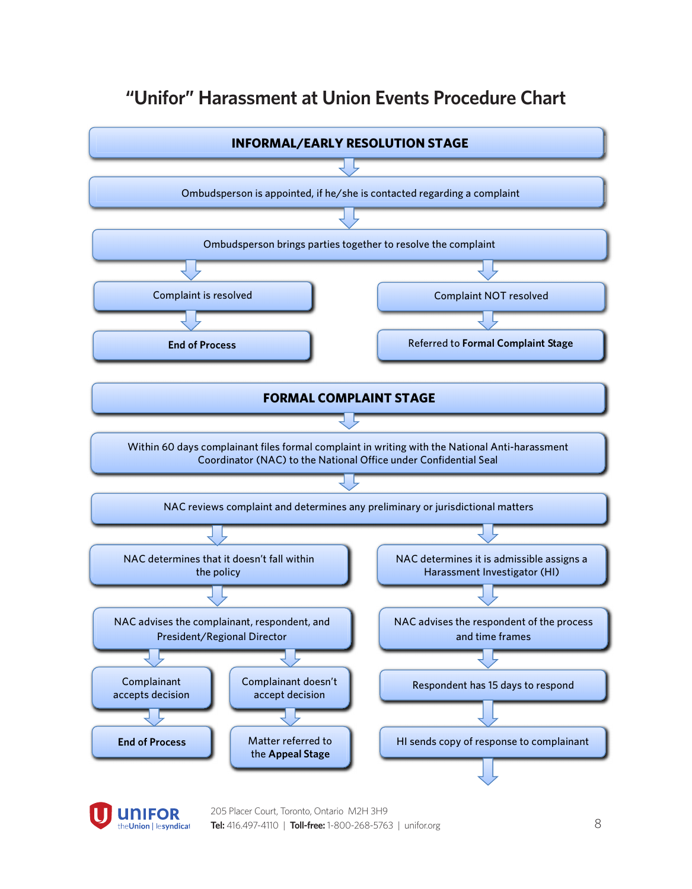### **"Unifor" Harassment at Union Events Procedure Chart**





205 Placer Court, Toronto, Ontario M2H 3H9 **Tel:** 416.497-4110 | **Toll-free:** 1-800-268-5763 | unifor.org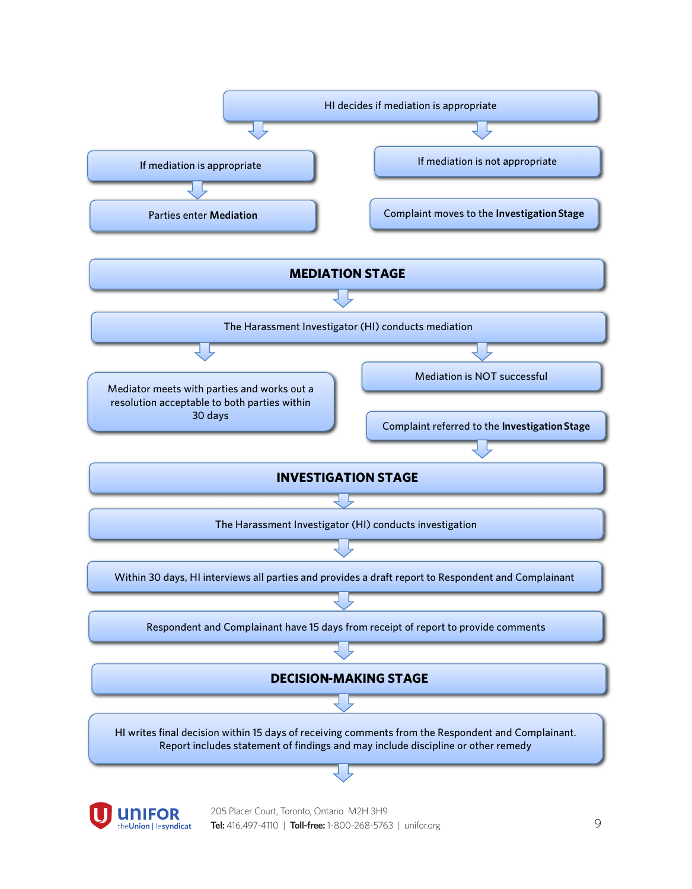